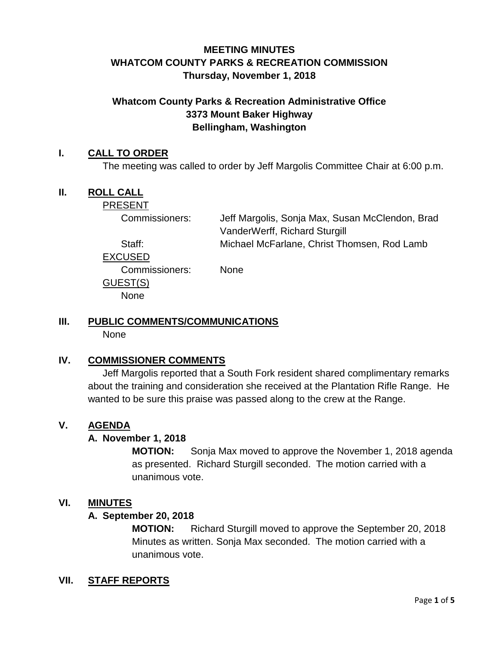## **MEETING MINUTES WHATCOM COUNTY PARKS & RECREATION COMMISSION Thursday, November 1, 2018**

#### **Whatcom County Parks & Recreation Administrative Office 3373 Mount Baker Highway Bellingham, Washington**

#### **I. CALL TO ORDER**

The meeting was called to order by Jeff Margolis Committee Chair at 6:00 p.m.

#### **II. ROLL CALL**

PRESENT

Commissioners: Jeff Margolis, Sonja Max, Susan McClendon, Brad VanderWerff, Richard Sturgill Staff: Michael McFarlane, Christ Thomsen, Rod Lamb

EXCUSED

Commissioners: None

GUEST(S)

None

# **III. PUBLIC COMMENTS/COMMUNICATIONS**

None

## **IV. COMMISSIONER COMMENTS**

Jeff Margolis reported that a South Fork resident shared complimentary remarks about the training and consideration she received at the Plantation Rifle Range. He wanted to be sure this praise was passed along to the crew at the Range.

#### **V. AGENDA**

#### **A. November 1, 2018**

**MOTION:** Sonja Max moved to approve the November 1, 2018 agenda as presented. Richard Sturgill seconded. The motion carried with a unanimous vote.

#### **VI. MINUTES**

#### **A. September 20, 2018**

**MOTION:** Richard Sturgill moved to approve the September 20, 2018 Minutes as written. Sonja Max seconded. The motion carried with a unanimous vote.

#### **VII. STAFF REPORTS**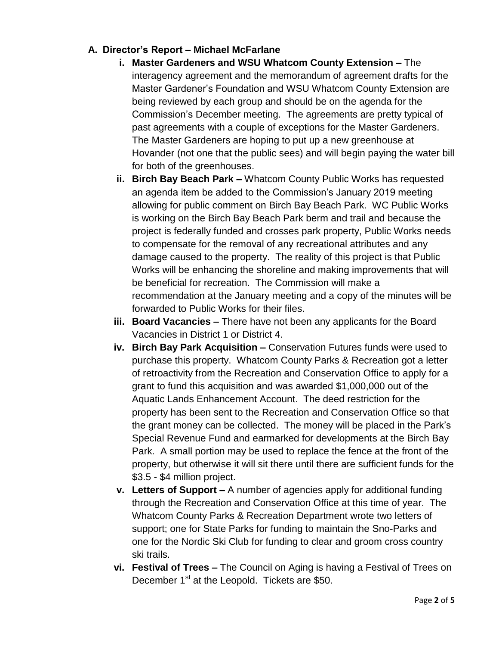# **A. Director's Report – Michael McFarlane**

- **i. Master Gardeners and WSU Whatcom County Extension –** The interagency agreement and the memorandum of agreement drafts for the Master Gardener's Foundation and WSU Whatcom County Extension are being reviewed by each group and should be on the agenda for the Commission's December meeting. The agreements are pretty typical of past agreements with a couple of exceptions for the Master Gardeners. The Master Gardeners are hoping to put up a new greenhouse at Hovander (not one that the public sees) and will begin paying the water bill for both of the greenhouses.
- **ii. Birch Bay Beach Park –** Whatcom County Public Works has requested an agenda item be added to the Commission's January 2019 meeting allowing for public comment on Birch Bay Beach Park. WC Public Works is working on the Birch Bay Beach Park berm and trail and because the project is federally funded and crosses park property, Public Works needs to compensate for the removal of any recreational attributes and any damage caused to the property. The reality of this project is that Public Works will be enhancing the shoreline and making improvements that will be beneficial for recreation. The Commission will make a recommendation at the January meeting and a copy of the minutes will be forwarded to Public Works for their files.
- **iii. Board Vacancies –** There have not been any applicants for the Board Vacancies in District 1 or District 4.
- **iv. Birch Bay Park Acquisition –** Conservation Futures funds were used to purchase this property. Whatcom County Parks & Recreation got a letter of retroactivity from the Recreation and Conservation Office to apply for a grant to fund this acquisition and was awarded \$1,000,000 out of the Aquatic Lands Enhancement Account. The deed restriction for the property has been sent to the Recreation and Conservation Office so that the grant money can be collected. The money will be placed in the Park's Special Revenue Fund and earmarked for developments at the Birch Bay Park. A small portion may be used to replace the fence at the front of the property, but otherwise it will sit there until there are sufficient funds for the \$3.5 - \$4 million project.
- **v. Letters of Support –** A number of agencies apply for additional funding through the Recreation and Conservation Office at this time of year. The Whatcom County Parks & Recreation Department wrote two letters of support; one for State Parks for funding to maintain the Sno-Parks and one for the Nordic Ski Club for funding to clear and groom cross country ski trails.
- **vi. Festival of Trees –** The Council on Aging is having a Festival of Trees on December 1<sup>st</sup> at the Leopold. Tickets are \$50.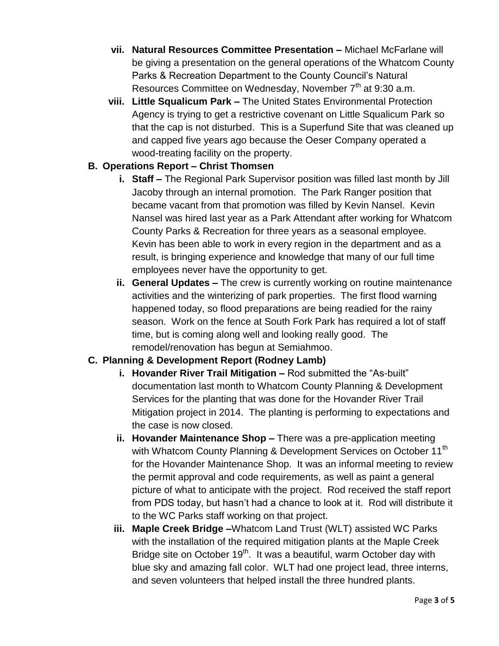- **vii. Natural Resources Committee Presentation –** Michael McFarlane will be giving a presentation on the general operations of the Whatcom County Parks & Recreation Department to the County Council's Natural Resources Committee on Wednesday, November  $7<sup>th</sup>$  at 9:30 a.m.
- **viii. Little Squalicum Park –** The United States Environmental Protection Agency is trying to get a restrictive covenant on Little Squalicum Park so that the cap is not disturbed. This is a Superfund Site that was cleaned up and capped five years ago because the Oeser Company operated a wood-treating facility on the property.

#### **B. Operations Report – Christ Thomsen**

- **i. Staff –** The Regional Park Supervisor position was filled last month by Jill Jacoby through an internal promotion. The Park Ranger position that became vacant from that promotion was filled by Kevin Nansel. Kevin Nansel was hired last year as a Park Attendant after working for Whatcom County Parks & Recreation for three years as a seasonal employee. Kevin has been able to work in every region in the department and as a result, is bringing experience and knowledge that many of our full time employees never have the opportunity to get.
- **ii. General Updates –** The crew is currently working on routine maintenance activities and the winterizing of park properties. The first flood warning happened today, so flood preparations are being readied for the rainy season. Work on the fence at South Fork Park has required a lot of staff time, but is coming along well and looking really good. The remodel/renovation has begun at Semiahmoo.

#### **C. Planning & Development Report (Rodney Lamb)**

- **i. Hovander River Trail Mitigation –** Rod submitted the "As-built" documentation last month to Whatcom County Planning & Development Services for the planting that was done for the Hovander River Trail Mitigation project in 2014. The planting is performing to expectations and the case is now closed.
- **ii. Hovander Maintenance Shop –** There was a pre-application meeting with Whatcom County Planning & Development Services on October 11<sup>th</sup> for the Hovander Maintenance Shop. It was an informal meeting to review the permit approval and code requirements, as well as paint a general picture of what to anticipate with the project. Rod received the staff report from PDS today, but hasn't had a chance to look at it. Rod will distribute it to the WC Parks staff working on that project.
- **iii. Maple Creek Bridge –**Whatcom Land Trust (WLT) assisted WC Parks with the installation of the required mitigation plants at the Maple Creek Bridge site on October 19<sup>th</sup>. It was a beautiful, warm October day with blue sky and amazing fall color. WLT had one project lead, three interns, and seven volunteers that helped install the three hundred plants.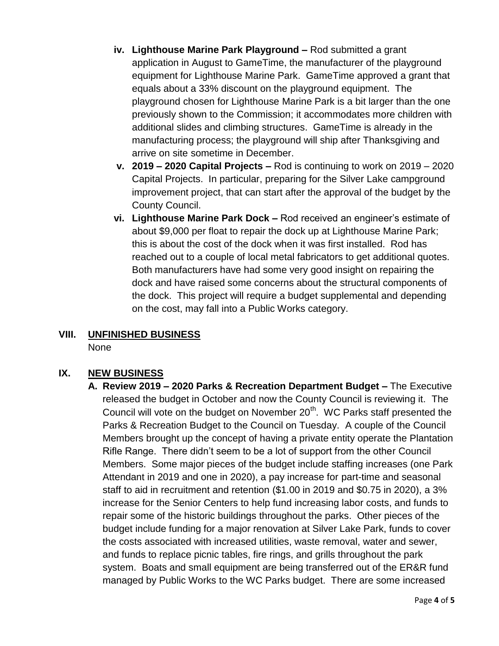- **iv. Lighthouse Marine Park Playground –** Rod submitted a grant application in August to GameTime, the manufacturer of the playground equipment for Lighthouse Marine Park. GameTime approved a grant that equals about a 33% discount on the playground equipment. The playground chosen for Lighthouse Marine Park is a bit larger than the one previously shown to the Commission; it accommodates more children with additional slides and climbing structures. GameTime is already in the manufacturing process; the playground will ship after Thanksgiving and arrive on site sometime in December.
- **v. 2019 – 2020 Capital Projects –** Rod is continuing to work on 2019 2020 Capital Projects. In particular, preparing for the Silver Lake campground improvement project, that can start after the approval of the budget by the County Council.
- **vi. Lighthouse Marine Park Dock –** Rod received an engineer's estimate of about \$9,000 per float to repair the dock up at Lighthouse Marine Park; this is about the cost of the dock when it was first installed. Rod has reached out to a couple of local metal fabricators to get additional quotes. Both manufacturers have had some very good insight on repairing the dock and have raised some concerns about the structural components of the dock. This project will require a budget supplemental and depending on the cost, may fall into a Public Works category.

# **VIII. UNFINISHED BUSINESS**

None

# **IX. NEW BUSINESS**

**A. Review 2019 – 2020 Parks & Recreation Department Budget –** The Executive released the budget in October and now the County Council is reviewing it. The Council will vote on the budget on November  $20<sup>th</sup>$ . WC Parks staff presented the Parks & Recreation Budget to the Council on Tuesday. A couple of the Council Members brought up the concept of having a private entity operate the Plantation Rifle Range. There didn't seem to be a lot of support from the other Council Members. Some major pieces of the budget include staffing increases (one Park Attendant in 2019 and one in 2020), a pay increase for part-time and seasonal staff to aid in recruitment and retention (\$1.00 in 2019 and \$0.75 in 2020), a 3% increase for the Senior Centers to help fund increasing labor costs, and funds to repair some of the historic buildings throughout the parks. Other pieces of the budget include funding for a major renovation at Silver Lake Park, funds to cover the costs associated with increased utilities, waste removal, water and sewer, and funds to replace picnic tables, fire rings, and grills throughout the park system. Boats and small equipment are being transferred out of the ER&R fund managed by Public Works to the WC Parks budget. There are some increased